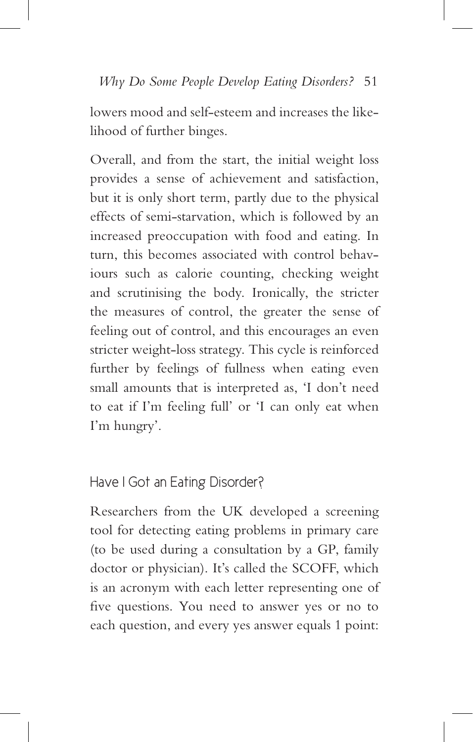## Have I Got an Eating Disorder?

Researchers from the UK developed a screening tool for detecting eating problems in primary care (to be used during a consultation by a GP, family doctor or physician). It's called the SCOFF, which is an acronym with each letter representing one of five questions. You need to answer yes or no to each question, and every yes answer equals 1 point: